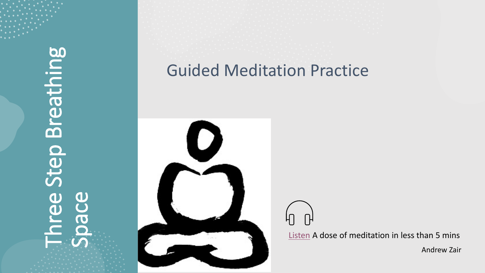Three Step Breathing Breathing Step 291 Space

#### Guided Meditation Practice



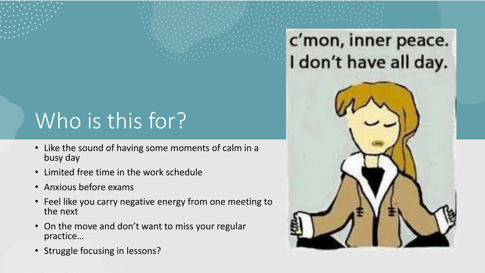# Who is this for?

- Like the sound of having some moments of calm in a busy day
- Limited free time in the work schedule
- Anxious before exams
- Feel like you carry negative energy from one meeting to the next
- On the move and don't want to miss your regular practice…
- Struggle focusing in lessons?

c'mon, inner peace. I don't have all day.

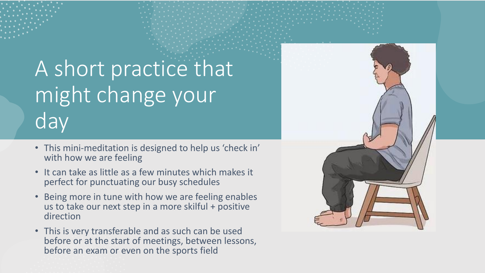## A short practice that might change your day

- This mini-meditation is designed to help us 'check in' with how we are feeling
- It can take as little as a few minutes which makes it perfect for punctuating our busy schedules
- Being more in tune with how we are feeling enables us to take our next step in a more skilful + positive direction
- This is very transferable and as such can be used before or at the start of meetings, between lessons, before an exam or even on the sports field

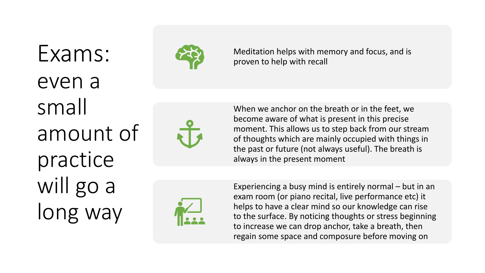# Exams: even a small amount of practice will go a long way



Meditation helps with memory and focus, and is proven to help with recall

When we anchor on the breath or in the feet, we become aware of what is present in this precise moment. This allows us to step back from our stream of thoughts which are mainly occupied with things in the past or future (not always useful). The breath is always in the present moment



Experiencing a busy mind is entirely normal – but in an exam room (or piano recital, live performance etc) it helps to have a clear mind so our knowledge can rise to the surface. By noticing thoughts or stress beginning to increase we can drop anchor, take a breath, then regain some space and composure before moving on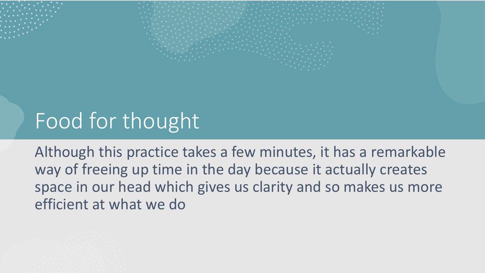## Food for thought

Although this practice takes a few minutes, it has a remarkable way of freeing up time in the day because it actually creates space in our head which gives us clarity and so makes us more efficient at what we do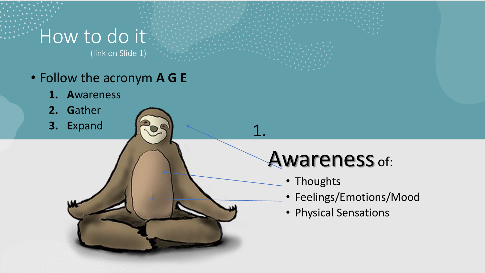## How to do it

(link on Slide 1)

- Follow the acronym **A G E**
	- **1. A**wareness
	- **2. G**ather
	- **3. E**xpand

## Awareness of:

• Thoughts

1.

- Feelings/Emotions/Mood
- Physical Sensations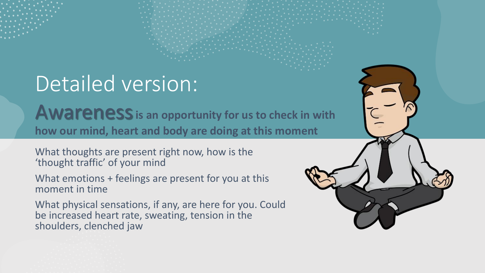## Detailed version:

**Awareness** is an opportunity for us to check in with **how our mind, heart and body are doing at this moment** 

What thoughts are present right now, how is the 'thought traffic' of your mind

What emotions + feelings are present for you at this moment in time

What physical sensations, if any, are here for you. Could be increased heart rate, sweating, tension in the shoulders, clenched jaw

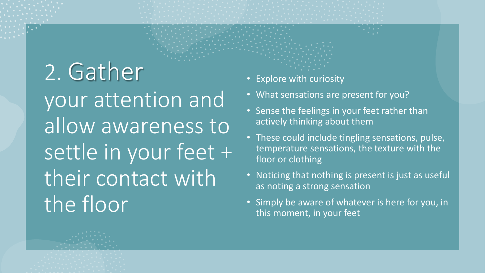2. Gather your attention and allow awareness to settle in your feet + their contact with the floor

- Explore with curiosity
- What sensations are present for you?
- Sense the feelings in your feet rather than actively thinking about them
- These could include tingling sensations, pulse, temperature sensations, the texture with the floor or clothing
- Noticing that nothing is present is just as useful as noting a strong sensation
- Simply be aware of whatever is here for you, in this moment, in your feet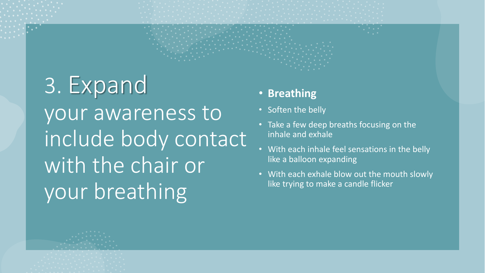3. Expand your awareness to include body contact with the chair or your breathing

- **Breathing**
- Soften the belly
- Take a few deep breaths focusing on the inhale and exhale
- With each inhale feel sensations in the belly like a balloon expanding
- With each exhale blow out the mouth slowly like trying to make a candle flicker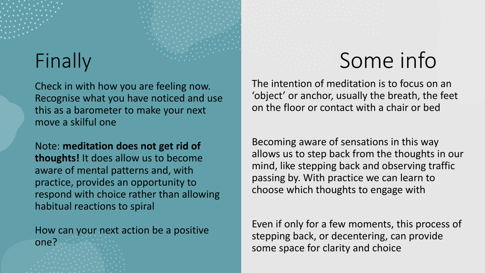Check in with how you are feeling now. Recognise what you have noticed and use this as a barometer to make your next move a skilful one

Note: **meditation does not get rid of thoughts!** It does allow us to become aware of mental patterns and, with practice, provides an opportunity to respond with choice rather than allowing habitual reactions to spiral

How can your next action be a positive one?

## Finally Some info

The intention of meditation is to focus on an 'object' or anchor, usually the breath, the feet on the floor or contact with a chair or bed

Becoming aware of sensations in this way allows us to step back from the thoughts in our mind, like stepping back and observing traffic passing by. With practice we can learn to choose which thoughts to engage with

Even if only for a few moments, this process of stepping back, or decentering, can provide some space for clarity and choice